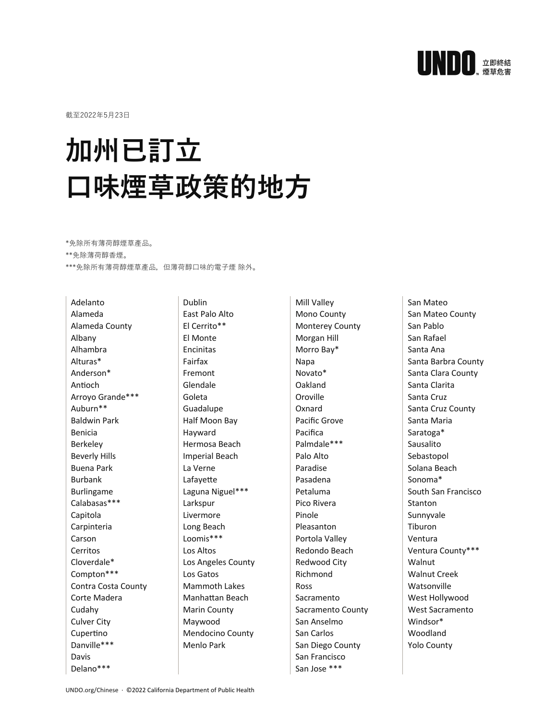

截⾄2022年5⽉23⽇

## **加州已訂⽴ ⼝味煙草政策的地⽅**

\*免除所有薄荷醇煙草產品。

\*\*免除薄荷醇⾹煙。

\*\*\*免除所有薄荷醇煙草產品,但薄荷醇⼝味的電⼦煙 除外。

Adelanto Alameda Alameda County Albany Alhambra Alturas\* Anderson\* Antioch Arroyo Grande\*\*\* Auburn\*\* Baldwin Park Benicia Berkeley Beverly Hills Buena Park Burbank Burlingame Calabasas\*\*\* Capitola Carpinteria Carson Cerritos Cloverdale\* Compton\*\*\* Contra Costa County Corte Madera Cudahy Culver City Cupertino Danville\*\*\* Davis Delano\*\*\*

Dublin East Palo Alto El Cerrito\*\* El Monte Encinitas Fairfax Fremont Glendale Goleta Guadalupe Half Moon Bay Hayward Hermosa Beach Imperial Beach La Verne Lafayette Laguna Niguel\*\*\* Larkspur Livermore Long Beach Loomis\*\*\* Los Altos Los Angeles County Los Gatos Mammoth Lakes Manhattan Beach Marin County Maywood Mendocino County Menlo Park

Mill Valley Mono County Monterey County Morgan Hill Morro Bay\* Napa Novato\* Oakland Oroville Oxnard Pacific Grove Pacifica Palmdale\*\*\* Palo Alto Paradise Pasadena Petaluma Pico Rivera Pinole Pleasanton Portola Valley Redondo Beach Redwood City Richmond Ross Sacramento Sacramento County San Anselmo San Carlos San Diego County San Francisco San Jose \*\*\*

San Mateo San Mateo County San Pablo San Rafael Santa Ana Santa Barbra County Santa Clara County Santa Clarita Santa Cruz Santa Cruz County Santa Maria Saratoga\* Sausalito Sebastopol Solana Beach Sonoma\* South San Francisco Stanton Sunnyvale Tiburon Ventura Ventura County\*\*\* Walnut Walnut Creek **Watsonville** West Hollywood West Sacramento Windsor\* Woodland Yolo County